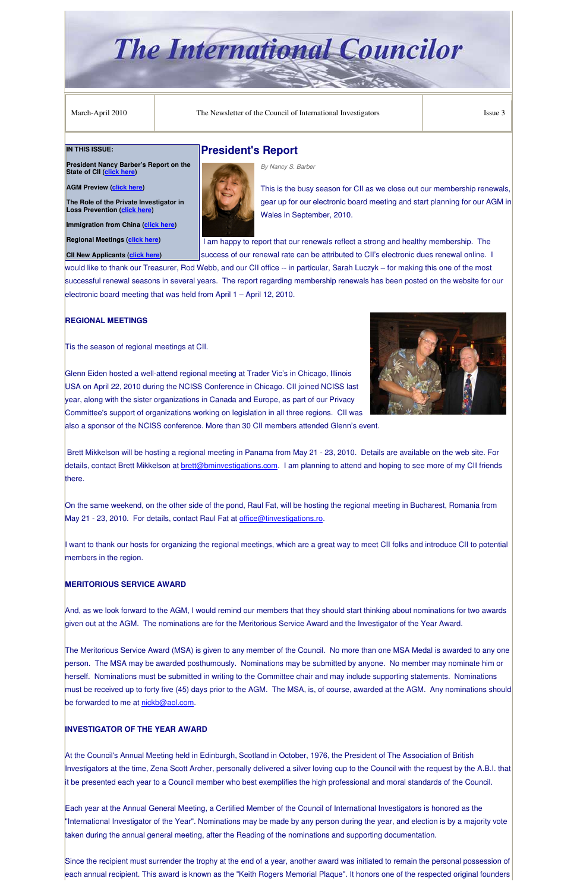# **The International Councilor**

March-April 2010 The Newsletter of the Council of International Investigators Issue 3

## **President's Report** *By Nancy S. Barber*



This is the busy season for CII as we close out our membership renewals, gear up for our electronic board meeting and start planning for our AGM in Wales in September, 2010.

 I am happy to report that our renewals reflect a strong and healthy membership. The success of our renewal rate can be attributed to CII's electronic dues renewal online. I

would like to thank our Treasurer, Rod Webb, and our CII office -- in particular, Sarah Luczyk – for making this one of the most successful renewal seasons in several years. The report regarding membership renewals has been posted on the website for our electronic board meeting that was held from April 1 – April 12, 2010.

On the same weekend, on the other side of the pond, Raul Fat, will be hosting the regional meeting in Bucharest, Romania from May 21 - 23, 2010. For details, contact Raul Fat at office@tinvestigations.ro.

## **REGIONAL MEETINGS**

Tis the season of regional meetings at CII.



I want to thank our hosts for organizing the regional meetings, which are a great way to meet CII folks and introduce CII to potential members in the region.

Glenn Eiden hosted a well-attend regional meeting at Trader Vic's in Chicago, Illinois USA on April 22, 2010 during the NCISS Conference in Chicago. CII joined NCISS last year, along with the sister organizations in Canada and Europe, as part of our Privacy Committee's support of organizations working on legislation in all three regions. CII was also a sponsor of the NCISS conference. More than 30 CII members attended Glenn's event.

person. The MSA may be awarded posthumously. Nominations may be submitted by anyone. No member may nominate him or herself. Nominations must be submitted in writing to the Committee chair and may include supporting statements. Nominations must be received up to forty five (45) days prior to the AGM. The MSA, is, of course, awarded at the AGM. Any nominations should be forwarded to me at nickb@aol.com.

 Brett Mikkelson will be hosting a regional meeting in Panama from May 21 - 23, 2010. Details are available on the web site. For details, contact Brett Mikkelson at **brett@bminvestigations.com.** I am planning to attend and hoping to see more of my CII friends there.

### **MERITORIOUS SERVICE AWARD**

And, as we look forward to the AGM, I would remind our members that they should start thinking about nominations for two awards given out at the AGM. The nominations are for the Meritorious Service Award and the Investigator of the Year Award.

The Meritorious Service Award (MSA) is given to any member of the Council. No more than one MSA Medal is awarded to any one

#### **INVESTIGATOR OF THE YEAR AWARD**

At the Council's Annual Meeting held in Edinburgh, Scotland in October, 1976, the President of The Association of British Investigators at the time, Zena Scott Archer, personally delivered a silver loving cup to the Council with the request by the A.B.I. that it be presented each year to a Council member who best exemplifies the high professional and moral standards of the Council.

Each year at the Annual General Meeting, a Certified Member of the Council of International Investigators is honored as the "International Investigator of the Year". Nominations may be made by any person during the year, and election is by a majority vote taken during the annual general meeting, after the Reading of the nominations and supporting documentation.

Since the recipient must surrender the trophy at the end of a year, another award was initiated to remain the personal possession of each annual recipient. This award is known as the "Keith Rogers Memorial Plaque". It honors one of the respected original founders

#### **IN THIS ISSUE:**

**President Nancy Barber's Report on the State of CII (click here)** 

**AGM Preview (click here)** 

**The Role of the Private Investigator in Loss Prevention (click here)** 

**Immigration from China (click here)** 

**Regional Meetings (click here)** 

**CII New Applicants (click here)**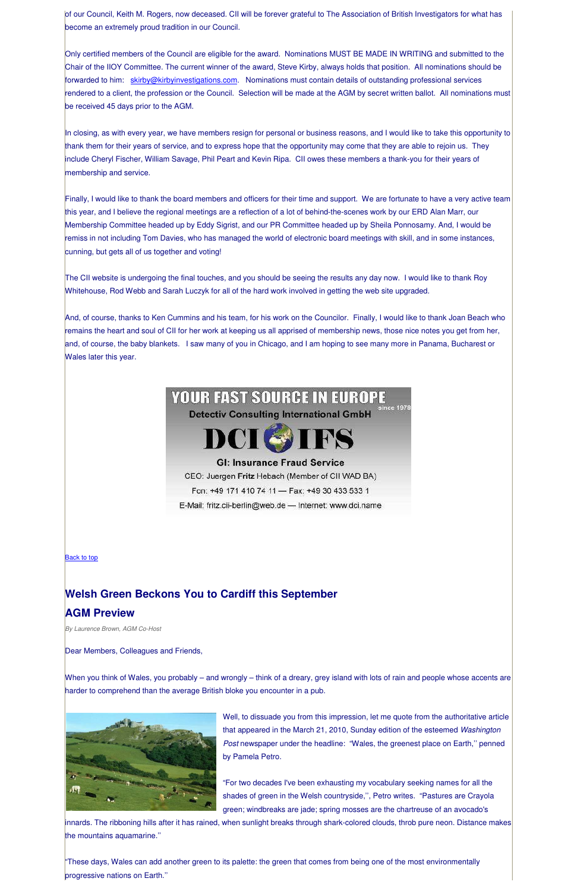of our Council, Keith M. Rogers, now deceased. CII will be forever grateful to The Association of British Investigators for what has become an extremely proud tradition in our Council.

Only certified members of the Council are eligible for the award. Nominations MUST BE MADE IN WRITING and submitted to the Chair of the IIOY Committee. The current winner of the award, Steve Kirby, always holds that position. All nominations should be forwarded to him: skirby@kirbyinvestigations.com. Nominations must contain details of outstanding professional services rendered to a client, the profession or the Council. Selection will be made at the AGM by secret written ballot. All nominations must be received 45 days prior to the AGM.

In closing, as with every year, we have members resign for personal or business reasons, and I would like to take this opportunity to thank them for their years of service, and to express hope that the opportunity may come that they are able to rejoin us. They include Cheryl Fischer, William Savage, Phil Peart and Kevin Ripa. CII owes these members a thank-you for their years of membership and service.

Finally, I would like to thank the board members and officers for their time and support. We are fortunate to have a very active team this year, and I believe the regional meetings are a reflection of a lot of behind-the-scenes work by our ERD Alan Marr, our Membership Committee headed up by Eddy Sigrist, and our PR Committee headed up by Sheila Ponnosamy. And, I would be remiss in not including Tom Davies, who has managed the world of electronic board meetings with skill, and in some instances, cunning, but gets all of us together and voting!

The CII website is undergoing the final touches, and you should be seeing the results any day now. I would like to thank Roy Whitehouse, Rod Webb and Sarah Luczyk for all of the hard work involved in getting the web site upgraded.

And, of course, thanks to Ken Cummins and his team, for his work on the Councilor. Finally, I would like to thank Joan Beach who remains the heart and soul of CII for her work at keeping us all apprised of membership news, those nice notes you get from her, and, of course, the baby blankets. I saw many of you in Chicago, and I am hoping to see many more in Panama, Bucharest or Wales later this year.

## **YOUR FAST SOURCE IN EUROPE** since 1978

**Detectiv Consulting International GmbH** 



## **GI: Insurance Fraud Service**

CEO: Juergen Fritz Hebach (Member of CII WAD BA)

Fon: +49 171 410 74 11 - Fax: +49 30 433 533 1

E-Mail: fritz.cii-berlin@web.de - Internet: www.dci.name

**Back to top** 

## **Welsh Green Beckons You to Cardiff this September**

## **AGM Preview**

*By Laurence Brown, AGM Co-Host* 

Dear Members, Colleagues and Friends,

When you think of Wales, you probably – and wrongly – think of a dreary, grey island with lots of rain and people whose accents are harder to comprehend than the average British bloke you encounter in a pub.



Well, to dissuade you from this impression, let me quote from the authoritative article that appeared in the March 21, 2010, Sunday edition of the esteemed *Washington Post* newspaper under the headline: "Wales, the greenest place on Earth,'' penned by Pamela Petro.

"For two decades I've been exhausting my vocabulary seeking names for all the shades of green in the Welsh countryside,'', Petro writes. "Pastures are Crayola green; windbreaks are jade; spring mosses are the chartreuse of an avocado's

innards. The ribboning hills after it has rained, when sunlight breaks through shark-colored clouds, throb pure neon. Distance makes the mountains aquamarine.''

"These days, Wales can add another green to its palette: the green that comes from being one of the most environmentally progressive nations on Earth.''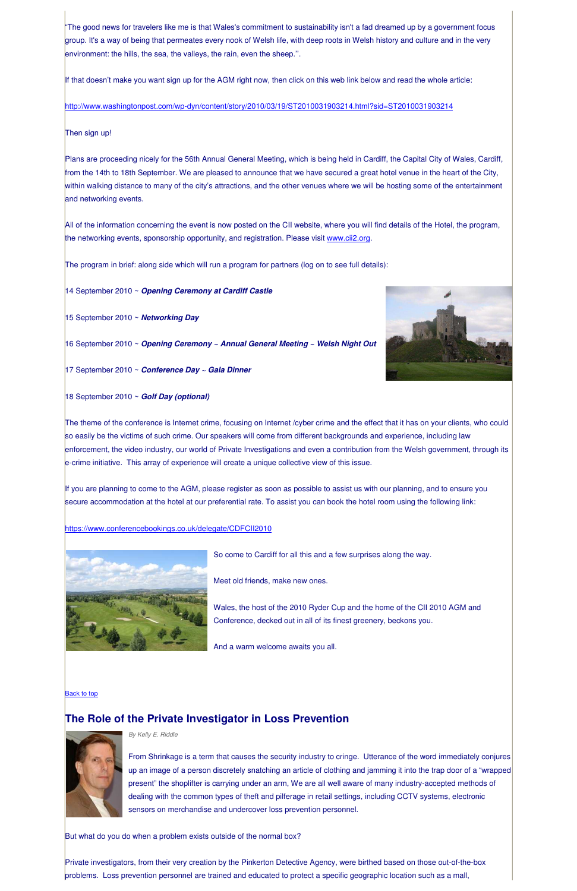"The good news for travelers like me is that Wales's commitment to sustainability isn't a fad dreamed up by a government focus group. It's a way of being that permeates every nook of Welsh life, with deep roots in Welsh history and culture and in the very environment: the hills, the sea, the valleys, the rain, even the sheep.''.

If that doesn't make you want sign up for the AGM right now, then click on this web link below and read the whole article:

http://www.washingtonpost.com/wp-dyn/content/story/2010/03/19/ST2010031903214.html?sid=ST2010031903214

## Then sign up!

Plans are proceeding nicely for the 56th Annual General Meeting, which is being held in Cardiff, the Capital City of Wales, Cardiff, from the 14th to 18th September. We are pleased to announce that we have secured a great hotel venue in the heart of the City, within walking distance to many of the city's attractions, and the other venues where we will be hosting some of the entertainment and networking events.

All of the information concerning the event is now posted on the CII website, where you will find details of the Hotel, the program, the networking events, sponsorship opportunity, and registration. Please visit www.cii2.org.

The program in brief: along side which will run a program for partners (log on to see full details):

14 September 2010 ~ *Opening Ceremony at Cardiff Castle*

15 September 2010 ~ *Networking Day*

16 September 2010 ~ *Opening Ceremony ~ Annual General Meeting ~ Welsh Night Out*

17 September 2010 ~ *Conference Day ~ Gala Dinner*

18 September 2010 ~ *Golf Day (optional)*

The theme of the conference is Internet crime, focusing on Internet /cyber crime and the effect that it has on your clients, who could so easily be the victims of such crime. Our speakers will come from different backgrounds and experience, including law enforcement, the video industry, our world of Private Investigations and even a contribution from the Welsh government, through its e-crime initiative. This array of experience will create a unique collective view of this issue.

If you are planning to come to the AGM, please register as soon as possible to assist us with our planning, and to ensure you secure accommodation at the hotel at our preferential rate. To assist you can book the hotel room using the following link:

https://www.conferencebookings.co.uk/delegate/CDFCII2010



So come to Cardiff for all this and a few surprises along the way.

Meet old friends, make new ones.

Wales, the host of the 2010 Ryder Cup and the home of the CII 2010 AGM and Conference, decked out in all of its finest greenery, beckons you.

And a warm welcome awaits you all.



#### **Back to top**

## **The Role of the Private Investigator in Loss Prevention**



*By Kelly E. Riddle* 

From Shrinkage is a term that causes the security industry to cringe. Utterance of the word immediately conjures up an image of a person discretely snatching an article of clothing and jamming it into the trap door of a "wrapped present" the shoplifter is carrying under an arm, We are all well aware of many industry-accepted methods of dealing with the common types of theft and pilferage in retail settings, including CCTV systems, electronic sensors on merchandise and undercover loss prevention personnel.

But what do you do when a problem exists outside of the normal box?

Private investigators, from their very creation by the Pinkerton Detective Agency, were birthed based on those out-of-the-box problems. Loss prevention personnel are trained and educated to protect a specific geographic location such as a mall,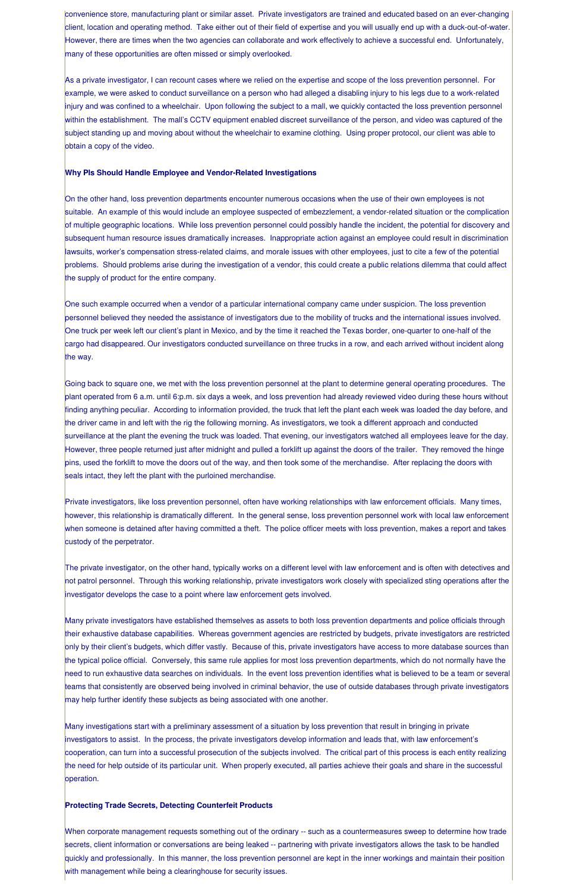convenience store, manufacturing plant or similar asset. Private investigators are trained and educated based on an ever-changing client, location and operating method. Take either out of their field of expertise and you will usually end up with a duck-out-of-water. However, there are times when the two agencies can collaborate and work effectively to achieve a successful end. Unfortunately, many of these opportunities are often missed or simply overlooked.

As a private investigator, I can recount cases where we relied on the expertise and scope of the loss prevention personnel. For example, we were asked to conduct surveillance on a person who had alleged a disabling injury to his legs due to a work-related injury and was confined to a wheelchair. Upon following the subject to a mall, we quickly contacted the loss prevention personnel within the establishment. The mall's CCTV equipment enabled discreet surveillance of the person, and video was captured of the subject standing up and moving about without the wheelchair to examine clothing. Using proper protocol, our client was able to obtain a copy of the video.

#### **Why PIs Should Handle Employee and Vendor-Related Investigations**

On the other hand, loss prevention departments encounter numerous occasions when the use of their own employees is not suitable. An example of this would include an employee suspected of embezzlement, a vendor-related situation or the complication of multiple geographic locations. While loss prevention personnel could possibly handle the incident, the potential for discovery and subsequent human resource issues dramatically increases. Inappropriate action against an employee could result in discrimination lawsuits, worker's compensation stress-related claims, and morale issues with other employees, just to cite a few of the potential problems. Should problems arise during the investigation of a vendor, this could create a public relations dilemma that could affect the supply of product for the entire company.

One such example occurred when a vendor of a particular international company came under suspicion. The loss prevention personnel believed they needed the assistance of investigators due to the mobility of trucks and the international issues involved. One truck per week left our client's plant in Mexico, and by the time it reached the Texas border, one-quarter to one-half of the cargo had disappeared. Our investigators conducted surveillance on three trucks in a row, and each arrived without incident along the way.

Going back to square one, we met with the loss prevention personnel at the plant to determine general operating procedures. The plant operated from 6 a.m. until 6:p.m. six days a week, and loss prevention had already reviewed video during these hours without finding anything peculiar. According to information provided, the truck that left the plant each week was loaded the day before, and the driver came in and left with the rig the following morning. As investigators, we took a different approach and conducted surveillance at the plant the evening the truck was loaded. That evening, our investigators watched all employees leave for the day. However, three people returned just after midnight and pulled a forklift up against the doors of the trailer. They removed the hinge pins, used the forklift to move the doors out of the way, and then took some of the merchandise. After replacing the doors with seals intact, they left the plant with the purloined merchandise.

Private investigators, like loss prevention personnel, often have working relationships with law enforcement officials. Many times, however, this relationship is dramatically different. In the general sense, loss prevention personnel work with local law enforcement when someone is detained after having committed a theft. The police officer meets with loss prevention, makes a report and takes custody of the perpetrator.

The private investigator, on the other hand, typically works on a different level with law enforcement and is often with detectives and not patrol personnel. Through this working relationship, private investigators work closely with specialized sting operations after the investigator develops the case to a point where law enforcement gets involved.

Many private investigators have established themselves as assets to both loss prevention departments and police officials through their exhaustive database capabilities. Whereas government agencies are restricted by budgets, private investigators are restricted only by their client's budgets, which differ vastly. Because of this, private investigators have access to more database sources than

the typical police official. Conversely, this same rule applies for most loss prevention departments, which do not normally have the need to run exhaustive data searches on individuals. In the event loss prevention identifies what is believed to be a team or several teams that consistently are observed being involved in criminal behavior, the use of outside databases through private investigators may help further identify these subjects as being associated with one another.

Many investigations start with a preliminary assessment of a situation by loss prevention that result in bringing in private investigators to assist. In the process, the private investigators develop information and leads that, with law enforcement's cooperation, can turn into a successful prosecution of the subjects involved. The critical part of this process is each entity realizing the need for help outside of its particular unit. When properly executed, all parties achieve their goals and share in the successful operation.

#### **Protecting Trade Secrets, Detecting Counterfeit Products**

When corporate management requests something out of the ordinary -- such as a countermeasures sweep to determine how trade secrets, client information or conversations are being leaked -- partnering with private investigators allows the task to be handled quickly and professionally. In this manner, the loss prevention personnel are kept in the inner workings and maintain their position with management while being a clearinghouse for security issues.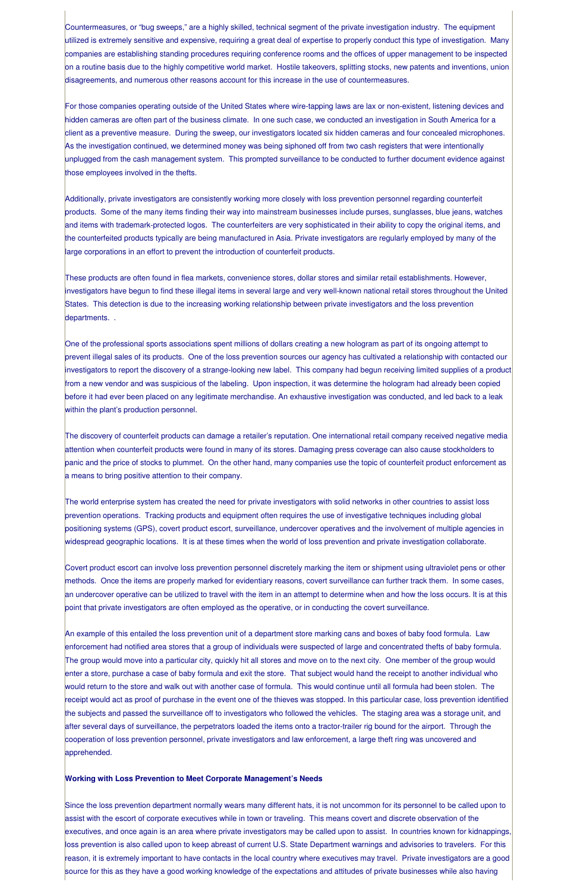Countermeasures, or "bug sweeps," are a highly skilled, technical segment of the private investigation industry. The equipment utilized is extremely sensitive and expensive, requiring a great deal of expertise to properly conduct this type of investigation. Many companies are establishing standing procedures requiring conference rooms and the offices of upper management to be inspected on a routine basis due to the highly competitive world market. Hostile takeovers, splitting stocks, new patents and inventions, union disagreements, and numerous other reasons account for this increase in the use of countermeasures.

For those companies operating outside of the United States where wire-tapping laws are lax or non-existent, listening devices and hidden cameras are often part of the business climate. In one such case, we conducted an investigation in South America for a client as a preventive measure. During the sweep, our investigators located six hidden cameras and four concealed microphones. As the investigation continued, we determined money was being siphoned off from two cash registers that were intentionally unplugged from the cash management system. This prompted surveillance to be conducted to further document evidence against those employees involved in the thefts.

Additionally, private investigators are consistently working more closely with loss prevention personnel regarding counterfeit products. Some of the many items finding their way into mainstream businesses include purses, sunglasses, blue jeans, watches and items with trademark-protected logos. The counterfeiters are very sophisticated in their ability to copy the original items, and the counterfeited products typically are being manufactured in Asia. Private investigators are regularly employed by many of the large corporations in an effort to prevent the introduction of counterfeit products.

These products are often found in flea markets, convenience stores, dollar stores and similar retail establishments. However, investigators have begun to find these illegal items in several large and very well-known national retail stores throughout the United States. This detection is due to the increasing working relationship between private investigators and the loss prevention departments. .

One of the professional sports associations spent millions of dollars creating a new hologram as part of its ongoing attempt to prevent illegal sales of its products. One of the loss prevention sources our agency has cultivated a relationship with contacted our investigators to report the discovery of a strange-looking new label. This company had begun receiving limited supplies of a product from a new vendor and was suspicious of the labeling. Upon inspection, it was determine the hologram had already been copied before it had ever been placed on any legitimate merchandise. An exhaustive investigation was conducted, and led back to a leak within the plant's production personnel.

The discovery of counterfeit products can damage a retailer's reputation. One international retail company received negative media attention when counterfeit products were found in many of its stores. Damaging press coverage can also cause stockholders to panic and the price of stocks to plummet. On the other hand, many companies use the topic of counterfeit product enforcement as a means to bring positive attention to their company.

The world enterprise system has created the need for private investigators with solid networks in other countries to assist loss prevention operations. Tracking products and equipment often requires the use of investigative techniques including global positioning systems (GPS), covert product escort, surveillance, undercover operatives and the involvement of multiple agencies in widespread geographic locations. It is at these times when the world of loss prevention and private investigation collaborate.

Covert product escort can involve loss prevention personnel discretely marking the item or shipment using ultraviolet pens or other methods. Once the items are properly marked for evidentiary reasons, covert surveillance can further track them. In some cases, an undercover operative can be utilized to travel with the item in an attempt to determine when and how the loss occurs. It is at this point that private investigators are often employed as the operative, or in conducting the covert surveillance.

An example of this entailed the loss prevention unit of a department store marking cans and boxes of baby food formula. Law enforcement had notified area stores that a group of individuals were suspected of large and concentrated thefts of baby formula.

The group would move into a particular city, quickly hit all stores and move on to the next city. One member of the group would enter a store, purchase a case of baby formula and exit the store. That subject would hand the receipt to another individual who would return to the store and walk out with another case of formula. This would continue until all formula had been stolen. The receipt would act as proof of purchase in the event one of the thieves was stopped. In this particular case, loss prevention identified the subjects and passed the surveillance off to investigators who followed the vehicles. The staging area was a storage unit, and after several days of surveillance, the perpetrators loaded the items onto a tractor-trailer rig bound for the airport. Through the cooperation of loss prevention personnel, private investigators and law enforcement, a large theft ring was uncovered and apprehended.

#### **Working with Loss Prevention to Meet Corporate Management's Needs**

Since the loss prevention department normally wears many different hats, it is not uncommon for its personnel to be called upon to assist with the escort of corporate executives while in town or traveling. This means covert and discrete observation of the executives, and once again is an area where private investigators may be called upon to assist. In countries known for kidnappings, loss prevention is also called upon to keep abreast of current U.S. State Department warnings and advisories to travelers. For this reason, it is extremely important to have contacts in the local country where executives may travel. Private investigators are a good source for this as they have a good working knowledge of the expectations and attitudes of private businesses while also having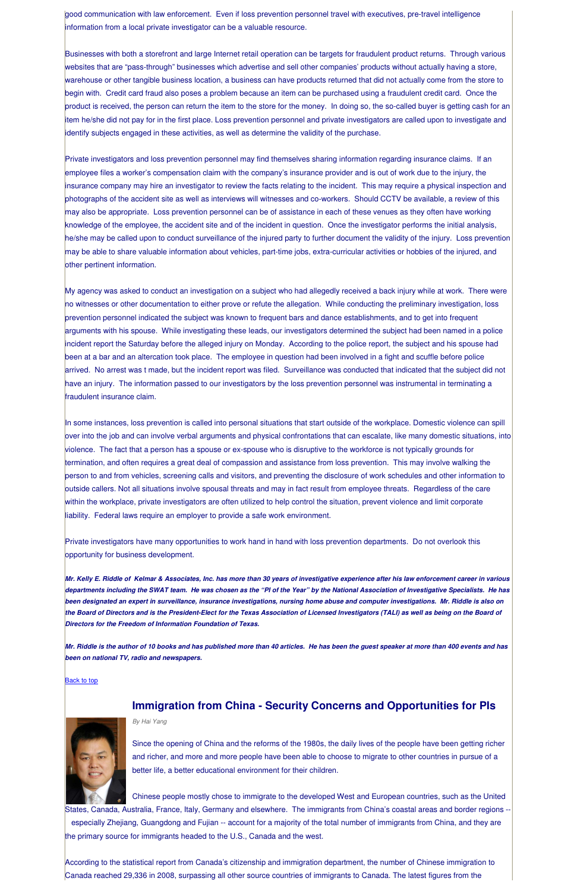good communication with law enforcement. Even if loss prevention personnel travel with executives, pre-travel intelligence information from a local private investigator can be a valuable resource.

Businesses with both a storefront and large Internet retail operation can be targets for fraudulent product returns. Through various websites that are "pass-through" businesses which advertise and sell other companies' products without actually having a store, warehouse or other tangible business location, a business can have products returned that did not actually come from the store to begin with. Credit card fraud also poses a problem because an item can be purchased using a fraudulent credit card. Once the product is received, the person can return the item to the store for the money. In doing so, the so-called buyer is getting cash for an item he/she did not pay for in the first place. Loss prevention personnel and private investigators are called upon to investigate and identify subjects engaged in these activities, as well as determine the validity of the purchase.

Private investigators and loss prevention personnel may find themselves sharing information regarding insurance claims. If an employee files a worker's compensation claim with the company's insurance provider and is out of work due to the injury, the insurance company may hire an investigator to review the facts relating to the incident. This may require a physical inspection and photographs of the accident site as well as interviews will witnesses and co-workers. Should CCTV be available, a review of this may also be appropriate. Loss prevention personnel can be of assistance in each of these venues as they often have working knowledge of the employee, the accident site and of the incident in question. Once the investigator performs the initial analysis, he/she may be called upon to conduct surveillance of the injured party to further document the validity of the injury. Loss prevention may be able to share valuable information about vehicles, part-time jobs, extra-curricular activities or hobbies of the injured, and other pertinent information.

My agency was asked to conduct an investigation on a subject who had allegedly received a back injury while at work. There were no witnesses or other documentation to either prove or refute the allegation. While conducting the preliminary investigation, loss prevention personnel indicated the subject was known to frequent bars and dance establishments, and to get into frequent arguments with his spouse. While investigating these leads, our investigators determined the subject had been named in a police incident report the Saturday before the alleged injury on Monday. According to the police report, the subject and his spouse had been at a bar and an altercation took place. The employee in question had been involved in a fight and scuffle before police arrived. No arrest was t made, but the incident report was filed. Surveillance was conducted that indicated that the subject did not have an injury. The information passed to our investigators by the loss prevention personnel was instrumental in terminating a fraudulent insurance claim.

In some instances, loss prevention is called into personal situations that start outside of the workplace. Domestic violence can spill over into the job and can involve verbal arguments and physical confrontations that can escalate, like many domestic situations, into violence. The fact that a person has a spouse or ex-spouse who is disruptive to the workforce is not typically grounds for termination, and often requires a great deal of compassion and assistance from loss prevention. This may involve walking the person to and from vehicles, screening calls and visitors, and preventing the disclosure of work schedules and other information to outside callers. Not all situations involve spousal threats and may in fact result from employee threats. Regardless of the care within the workplace, private investigators are often utilized to help control the situation, prevent violence and limit corporate liability. Federal laws require an employer to provide a safe work environment.

Private investigators have many opportunities to work hand in hand with loss prevention departments. Do not overlook this opportunity for business development.

*Mr. Kelly E. Riddle of Kelmar & Associates, Inc. has more than 30 years of investigative experience after his law enforcement career in various departments including the SWAT team. He was chosen as the "PI of the Year" by the National Association of Investigative Specialists. He has been designated an expert in surveillance, insurance investigations, nursing home abuse and computer investigations. Mr. Riddle is also on the Board of Directors and is the President-Elect for the Texas Association of Licensed Investigators (TALI) as well as being on the Board of Directors for the Freedom of Information Foundation of Texas.* 

*Mr. Riddle is the author of 10 books and has published more than 40 articles. He has been the guest speaker at more than 400 events and has* 

## *been on national TV, radio and newspapers.*

#### **Back to top**



## **Immigration from China - Security Concerns and Opportunities for PIs**

*By Hai Yang* 

Since the opening of China and the reforms of the 1980s, the daily lives of the people have been getting richer and richer, and more and more people have been able to choose to migrate to other countries in pursue of a better life, a better educational environment for their children.

Chinese people mostly chose to immigrate to the developed West and European countries, such as the United States, Canada, Australia, France, Italy, Germany and elsewhere. The immigrants from China's coastal areas and border regions - especially Zhejiang, Guangdong and Fujian -- account for a majority of the total number of immigrants from China, and they are the primary source for immigrants headed to the U.S., Canada and the west.

According to the statistical report from Canada's citizenship and immigration department, the number of Chinese immigration to Canada reached 29,336 in 2008, surpassing all other source countries of immigrants to Canada. The latest figures from the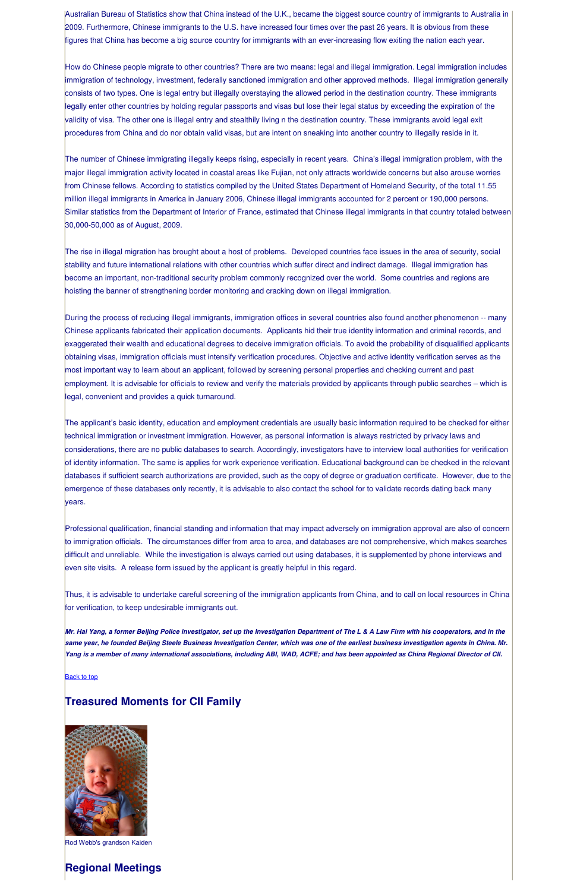Australian Bureau of Statistics show that China instead of the U.K., became the biggest source country of immigrants to Australia in 2009. Furthermore, Chinese immigrants to the U.S. have increased four times over the past 26 years. It is obvious from these figures that China has become a big source country for immigrants with an ever-increasing flow exiting the nation each year.

How do Chinese people migrate to other countries? There are two means: legal and illegal immigration. Legal immigration includes immigration of technology, investment, federally sanctioned immigration and other approved methods. Illegal immigration generally consists of two types. One is legal entry but illegally overstaying the allowed period in the destination country. These immigrants legally enter other countries by holding regular passports and visas but lose their legal status by exceeding the expiration of the validity of visa. The other one is illegal entry and stealthily living n the destination country. These immigrants avoid legal exit procedures from China and do nor obtain valid visas, but are intent on sneaking into another country to illegally reside in it.

The number of Chinese immigrating illegally keeps rising, especially in recent years. China's illegal immigration problem, with the major illegal immigration activity located in coastal areas like Fujian, not only attracts worldwide concerns but also arouse worries from Chinese fellows. According to statistics compiled by the United States Department of Homeland Security, of the total 11.55 million illegal immigrants in America in January 2006, Chinese illegal immigrants accounted for 2 percent or 190,000 persons. Similar statistics from the Department of Interior of France, estimated that Chinese illegal immigrants in that country totaled between 30,000-50,000 as of August, 2009.

The rise in illegal migration has brought about a host of problems. Developed countries face issues in the area of security, social stability and future international relations with other countries which suffer direct and indirect damage. Illegal immigration has become an important, non-traditional security problem commonly recognized over the world. Some countries and regions are hoisting the banner of strengthening border monitoring and cracking down on illegal immigration.

During the process of reducing illegal immigrants, immigration offices in several countries also found another phenomenon -- many Chinese applicants fabricated their application documents. Applicants hid their true identity information and criminal records, and exaggerated their wealth and educational degrees to deceive immigration officials. To avoid the probability of disqualified applicants obtaining visas, immigration officials must intensify verification procedures. Objective and active identity verification serves as the most important way to learn about an applicant, followed by screening personal properties and checking current and past employment. It is advisable for officials to review and verify the materials provided by applicants through public searches – which is legal, convenient and provides a quick turnaround.

The applicant's basic identity, education and employment credentials are usually basic information required to be checked for either technical immigration or investment immigration. However, as personal information is always restricted by privacy laws and considerations, there are no public databases to search. Accordingly, investigators have to interview local authorities for verification of identity information. The same is applies for work experience verification. Educational background can be checked in the relevant databases if sufficient search authorizations are provided, such as the copy of degree or graduation certificate. However, due to the emergence of these databases only recently, it is advisable to also contact the school for to validate records dating back many years.

Professional qualification, financial standing and information that may impact adversely on immigration approval are also of concern to immigration officials. The circumstances differ from area to area, and databases are not comprehensive, which makes searches difficult and unreliable. While the investigation is always carried out using databases, it is supplemented by phone interviews and even site visits. A release form issued by the applicant is greatly helpful in this regard.

Thus, it is advisable to undertake careful screening of the immigration applicants from China, and to call on local resources in China for verification, to keep undesirable immigrants out.

*Mr. Hai Yang, a former Beijing Police investigator, set up the Investigation Department of The L & A Law Firm with his cooperators, and in the same year, he founded Beijing Steele Business Investigation Center, which was one of the earliest business investigation agents in China. Mr. Yang is a member of many international associations, including ABI, WAD, ACFE; and has been appointed as China Regional Director of CII.*

#### **Back to top**

## **Treasured Moments for CII Family**



Rod Webb's grandson Kaiden

## **Regional Meetings**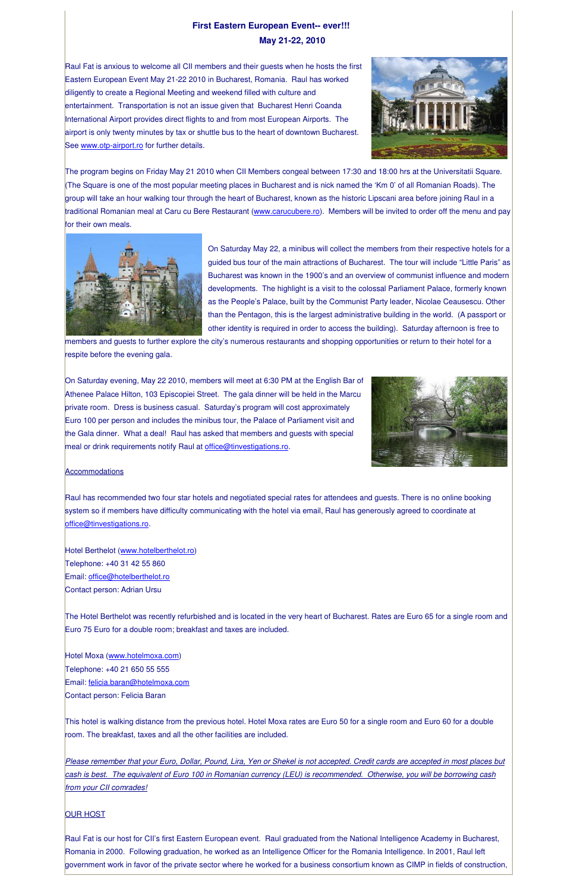## **First Eastern European Event-- ever!!! May 21-22, 2010**

Raul Fat is anxious to welcome all CII members and their guests when he hosts the first Eastern European Event May 21-22 2010 in Bucharest, Romania. Raul has worked diligently to create a Regional Meeting and weekend filled with culture and entertainment. Transportation is not an issue given that Bucharest Henri Coanda International Airport provides direct flights to and from most European Airports. The airport is only twenty minutes by tax or shuttle bus to the heart of downtown Bucharest. See www.otp-airport.ro for further details.



The program begins on Friday May 21 2010 when CII Members congeal between 17:30 and 18:00 hrs at the Universitatii Square. (The Square is one of the most popular meeting places in Bucharest and is nick named the 'Km 0' of all Romanian Roads). The group will take an hour walking tour through the heart of Bucharest, known as the historic Lipscani area before joining Raul in a traditional Romanian meal at Caru cu Bere Restaurant (www.carucubere.ro). Members will be invited to order off the menu and pay for their own meals.



On Saturday evening, May 22 2010, members will meet at 6:30 PM at the English Bar of Athenee Palace Hilton, 103 Episcopiei Street. The gala dinner will be held in the Marcu private room. Dress is business casual. Saturday's program will cost approximately Euro 100 per person and includes the minibus tour, the Palace of Parliament visit and the Gala dinner. What a deal! Raul has asked that members and guests with special meal or drink requirements notify Raul at office@tinvestigations.ro.



#### **Accommodations**

Raul has recommended two four star hotels and negotiated special rates for attendees and guests. There is no online booking system so if members have difficulty communicating with the hotel via email, Raul has generously agreed to coordinate at office@tinvestigations.ro.

Hotel Berthelot (www.hotelberthelot.ro) Telephone: +40 31 42 55 860 Email: office@hotelberthelot.ro Contact person: Adrian Ursu

On Saturday May 22, a minibus will collect the members from their respective hotels for a guided bus tour of the main attractions of Bucharest. The tour will include "Little Paris" as Bucharest was known in the 1900's and an overview of communist influence and modern developments. The highlight is a visit to the colossal Parliament Palace, formerly known as the People's Palace, built by the Communist Party leader, Nicolae Ceausescu. Other than the Pentagon, this is the largest administrative building in the world. (A passport or other identity is required in order to access the building). Saturday afternoon is free to

members and guests to further explore the city's numerous restaurants and shopping opportunities or return to their hotel for a respite before the evening gala.

The Hotel Berthelot was recently refurbished and is located in the very heart of Bucharest. Rates are Euro 65 for a single room and Euro 75 Euro for a double room; breakfast and taxes are included.

Hotel Moxa (www.hotelmoxa.com) Telephone: +40 21 650 55 555 Email: felicia.baran@hotelmoxa.com Contact person: Felicia Baran

This hotel is walking distance from the previous hotel. Hotel Moxa rates are Euro 50 for a single room and Euro 60 for a double room. The breakfast, taxes and all the other facilities are included.

*Please remember that your Euro, Dollar, Pound, Lira, Yen or Shekel is not accepted. Credit cards are accepted in most places but cash is best. The equivalent of Euro 100 in Romanian currency (LEU) is recommended. Otherwise, you will be borrowing cash from your CII comrades!*

## **OUR HOST**

Raul Fat is our host for CII's first Eastern European event. Raul graduated from the National Intelligence Academy in Bucharest, Romania in 2000. Following graduation, he worked as an Intelligence Officer for the Romania Intelligence. In 2001, Raul left government work in favor of the private sector where he worked for a business consortium known as CIMP in fields of construction,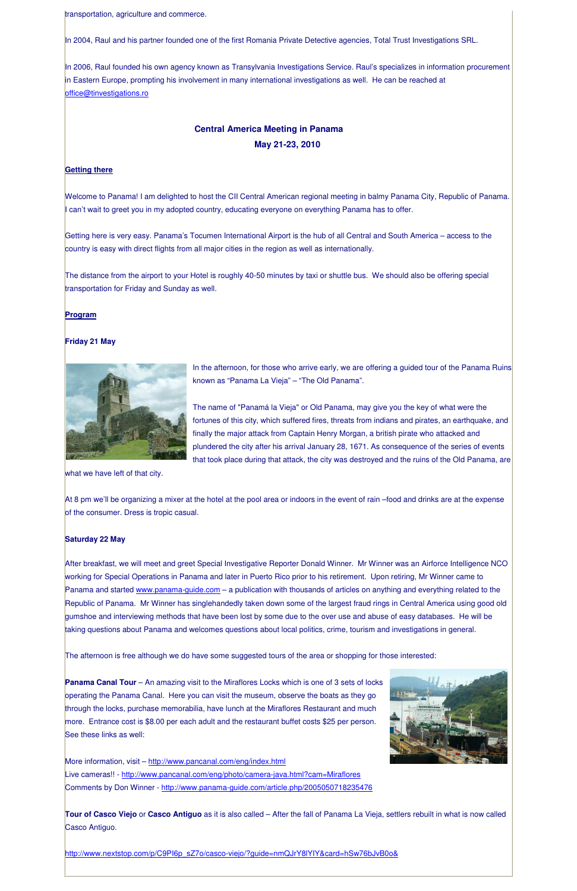transportation, agriculture and commerce.

In 2004, Raul and his partner founded one of the first Romania Private Detective agencies, Total Trust Investigations SRL.

In 2006, Raul founded his own agency known as Transylvania Investigations Service. Raul's specializes in information procurement in Eastern Europe, prompting his involvement in many international investigations as well. He can be reached at office@tinvestigations.ro

## **Central America Meeting in Panama May 21-23, 2010**

#### **Getting there**

Welcome to Panama! I am delighted to host the CII Central American regional meeting in balmy Panama City, Republic of Panama. I can't wait to greet you in my adopted country, educating everyone on everything Panama has to offer.

> In the afternoon, for those who arrive early, we are offering a guided tour of the Panama Ruins known as "Panama La Vieja" – "The Old Panama".

Getting here is very easy. Panama's Tocumen International Airport is the hub of all Central and South America – access to the country is easy with direct flights from all major cities in the region as well as internationally.

The distance from the airport to your Hotel is roughly 40-50 minutes by taxi or shuttle bus. We should also be offering special transportation for Friday and Sunday as well.

#### **Program**

#### **Friday 21 May**



The name of "Panamá la Vieja" or Old Panama, may give you the key of what were the fortunes of this city, which suffered fires, threats from indians and pirates, an earthquake, and finally the major attack from Captain Henry Morgan, a british pirate who attacked and plundered the city after his arrival January 28, 1671. As consequence of the series of events that took place during that attack, the city was destroyed and the ruins of the Old Panama, are

**Panama Canal Tour** – An amazing visit to the Miraflores Locks which is one of 3 sets of locks operating the Panama Canal. Here you can visit the museum, observe the boats as they go through the locks, purchase memorabilia, have lunch at the Miraflores Restaurant and much more. Entrance cost is \$8.00 per each adult and the restaurant buffet costs \$25 per person. See these links as well:

More information, visit – http://www.pancanal.com/eng/index.html

Live cameras!! - http://www.pancanal.com/eng/photo/camera-java.html?cam=Miraflores

what we have left of that city.

At 8 pm we'll be organizing a mixer at the hotel at the pool area or indoors in the event of rain –food and drinks are at the expense of the consumer. Dress is tropic casual.

#### **Saturday 22 May**

After breakfast, we will meet and greet Special Investigative Reporter Donald Winner. Mr Winner was an Airforce Intelligence NCO working for Special Operations in Panama and later in Puerto Rico prior to his retirement. Upon retiring, Mr Winner came to Panama and started www.panama-guide.com – a publication with thousands of articles on anything and everything related to the Republic of Panama. Mr Winner has singlehandedly taken down some of the largest fraud rings in Central America using good old gumshoe and interviewing methods that have been lost by some due to the over use and abuse of easy databases. He will be taking questions about Panama and welcomes questions about local politics, crime, tourism and investigations in general.

I he afternoon is free although we do have some suggested tours of the area or shopping for those interested:

Comments by Don Winner - http://www.panama-guide.com/article.php/2005050718235476

**Tour of Casco Viejo** or **Casco Antiguo** as it is also called – After the fall of Panama La Vieja, settlers rebuilt in what is now called Casco Antiguo.

http://www.nextstop.com/p/C9PI6p\_sZ7o/casco-viejo/?guide=nmQJrY8lYIY&card=hSw76bJvB0o&

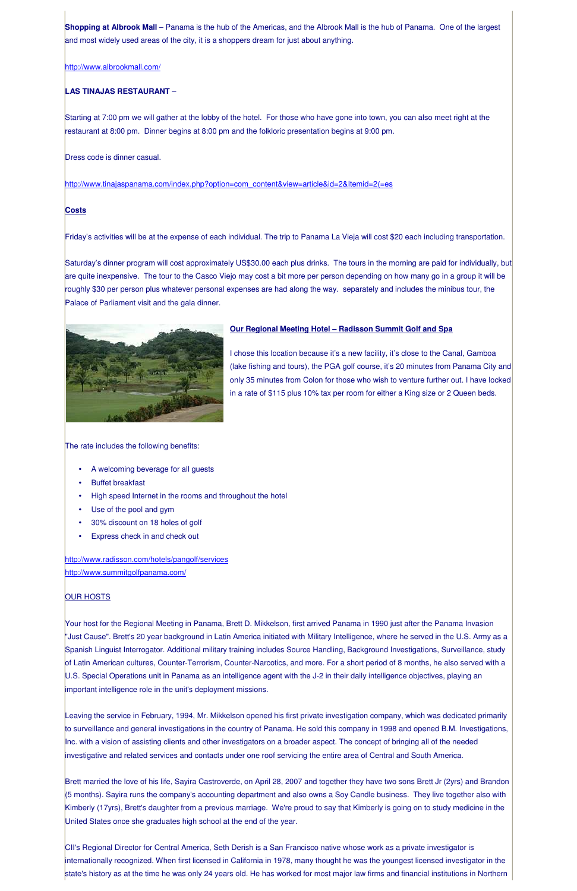**Shopping at Albrook Mall** – Panama is the hub of the Americas, and the Albrook Mall is the hub of Panama. One of the largest and most widely used areas of the city, it is a shoppers dream for just about anything.

### http://www.albrookmall.com/

## **LAS TINAJAS RESTAURANT** –

Starting at 7:00 pm we will gather at the lobby of the hotel. For those who have gone into town, you can also meet right at the restaurant at 8:00 pm. Dinner begins at 8:00 pm and the folkloric presentation begins at 9:00 pm.

Dress code is dinner casual.

http://www.tinajaspanama.com/index.php?option=com\_content&view=article&id=2&Itemid=2(=es

## **Costs**

Friday's activities will be at the expense of each individual. The trip to Panama La Vieja will cost \$20 each including transportation.

- A welcoming beverage for all guests
- Buffet breakfast
- High speed Internet in the rooms and throughout the hotel
- Use of the pool and gym
- 30% discount on 18 holes of golf
- Express check in and check out

Saturday's dinner program will cost approximately US\$30.00 each plus drinks. The tours in the morning are paid for individually, but are quite inexpensive. The tour to the Casco Viejo may cost a bit more per person depending on how many go in a group it will be roughly \$30 per person plus whatever personal expenses are had along the way. separately and includes the minibus tour, the Palace of Parliament visit and the gala dinner.



## **Our Regional Meeting Hotel – Radisson Summit Golf and Spa**

I chose this location because it's a new facility, it's close to the Canal, Gamboa (lake fishing and tours), the PGA golf course, it's 20 minutes from Panama City and only 35 minutes from Colon for those who wish to venture further out. I have locked in a rate of \$115 plus 10% tax per room for either a King size or 2 Queen beds.

The rate includes the following benefits:

http://www.radisson.com/hotels/pangolf/services http://www.summitgolfpanama.com/

## **OUR HOSTS**

Your host for the Regional Meeting in Panama, Brett D. Mikkelson, first arrived Panama in 1990 just after the Panama Invasion "Just Cause". Brett's 20 year background in Latin America initiated with Military Intelligence, where he served in the U.S. Army as a Spanish Linguist Interrogator. Additional military training includes Source Handling, Background Investigations, Surveillance, study

of Latin American cultures, Counter-Terrorism, Counter-Narcotics, and more. For a short period of 8 months, he also served with a U.S. Special Operations unit in Panama as an intelligence agent with the J-2 in their daily intelligence objectives, playing an important intelligence role in the unit's deployment missions.

Leaving the service in February, 1994, Mr. Mikkelson opened his first private investigation company, which was dedicated primarily to surveillance and general investigations in the country of Panama. He sold this company in 1998 and opened B.M. Investigations, Inc. with a vision of assisting clients and other investigators on a broader aspect. The concept of bringing all of the needed investigative and related services and contacts under one roof servicing the entire area of Central and South America.

Brett married the love of his life, Sayira Castroverde, on April 28, 2007 and together they have two sons Brett Jr (2yrs) and Brandon (5 months). Sayira runs the company's accounting department and also owns a Soy Candle business. They live together also with Kimberly (17yrs), Brett's daughter from a previous marriage. We're proud to say that Kimberly is going on to study medicine in the United States once she graduates high school at the end of the year.

CII's Regional Director for Central America, Seth Derish is a San Francisco native whose work as a private investigator is internationally recognized. When first licensed in California in 1978, many thought he was the youngest licensed investigator in the state's history as at the time he was only 24 years old. He has worked for most major law firms and financial institutions in Northern